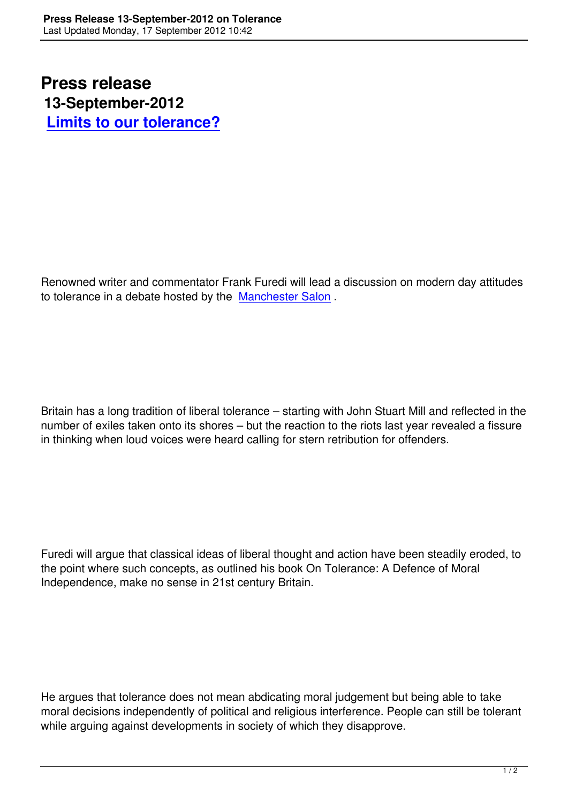Renowned writer and commentator Frank Furedi will lead a discussion on modern day attitudes to tolerance in a debate hosted by the Manchester Salon .

Britain has a long tradition of liberal tolerance – starting with John Stuart Mill and reflected in the number of exiles taken onto its shores – but the reaction to the riots last year revealed a fissure in thinking when loud voices were heard calling for stern retribution for offenders.

Furedi will argue that classical ideas of liberal thought and action have been steadily eroded, to the point where such concepts, as outlined his book On Tolerance: A Defence of Moral Independence, make no sense in 21st century Britain.

He argues that tolerance does not mean abdicating moral judgement but being able to take moral decisions independently of political and religious interference. People can still be tolerant while arguing against developments in society of which they disapprove.